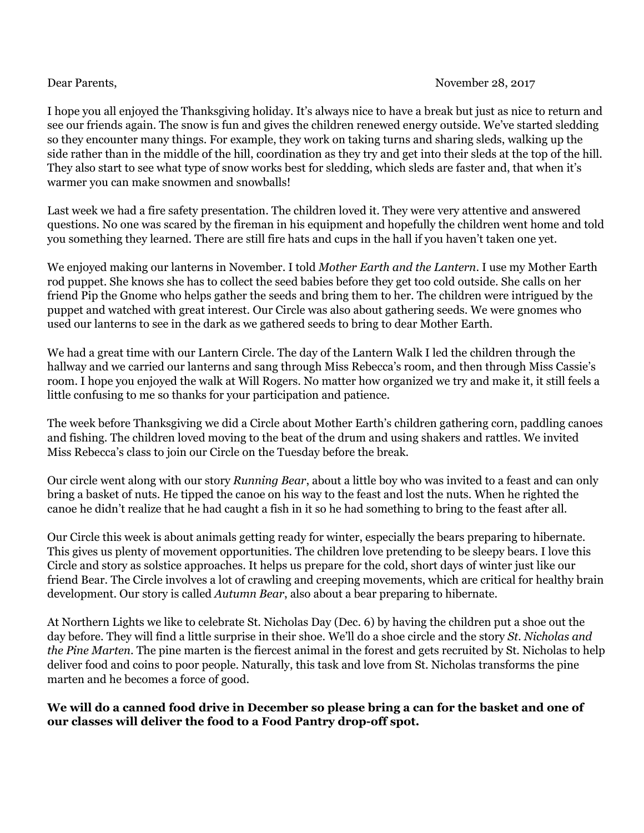I hope you all enjoyed the Thanksgiving holiday. It's always nice to have a break but just as nice to return and see our friends again. The snow is fun and gives the children renewed energy outside. We've started sledding so they encounter many things. For example, they work on taking turns and sharing sleds, walking up the side rather than in the middle of the hill, coordination as they try and get into their sleds at the top of the hill. They also start to see what type of snow works best for sledding, which sleds are faster and, that when it's warmer you can make snowmen and snowballs!

Last week we had a fire safety presentation. The children loved it. They were very attentive and answered questions. No one was scared by the fireman in his equipment and hopefully the children went home and told you something they learned. There are still fire hats and cups in the hall if you haven't taken one yet.

We enjoyed making our lanterns in November. I told *Mother Earth and the Lantern*. I use my Mother Earth rod puppet. She knows she has to collect the seed babies before they get too cold outside. She calls on her friend Pip the Gnome who helps gather the seeds and bring them to her. The children were intrigued by the puppet and watched with great interest. Our Circle was also about gathering seeds. We were gnomes who used our lanterns to see in the dark as we gathered seeds to bring to dear Mother Earth.

We had a great time with our Lantern Circle. The day of the Lantern Walk I led the children through the hallway and we carried our lanterns and sang through Miss Rebecca's room, and then through Miss Cassie's room. I hope you enjoyed the walk at Will Rogers. No matter how organized we try and make it, it still feels a little confusing to me so thanks for your participation and patience.

The week before Thanksgiving we did a Circle about Mother Earth's children gathering corn, paddling canoes and fishing. The children loved moving to the beat of the drum and using shakers and rattles. We invited Miss Rebecca's class to join our Circle on the Tuesday before the break.

Our circle went along with our story *Running Bear*, about a little boy who was invited to a feast and can only bring a basket of nuts. He tipped the canoe on his way to the feast and lost the nuts. When he righted the canoe he didn't realize that he had caught a fish in it so he had something to bring to the feast after all.

Our Circle this week is about animals getting ready for winter, especially the bears preparing to hibernate. This gives us plenty of movement opportunities. The children love pretending to be sleepy bears. I love this Circle and story as solstice approaches. It helps us prepare for the cold, short days of winter just like our friend Bear. The Circle involves a lot of crawling and creeping movements, which are critical for healthy brain development. Our story is called *Autumn Bear*, also about a bear preparing to hibernate.

At Northern Lights we like to celebrate St. Nicholas Day (Dec. 6) by having the children put a shoe out the day before. They will find a little surprise in their shoe. We'll do a shoe circle and the story *St. Nicholas and the Pine Marten*. The pine marten is the fiercest animal in the forest and gets recruited by St. Nicholas to help deliver food and coins to poor people. Naturally, this task and love from St. Nicholas transforms the pine marten and he becomes a force of good.

We will do a canned food drive in December so please bring a can for the basket and one of **our classes will deliver the food to a Food Pantry drop-off spot.**